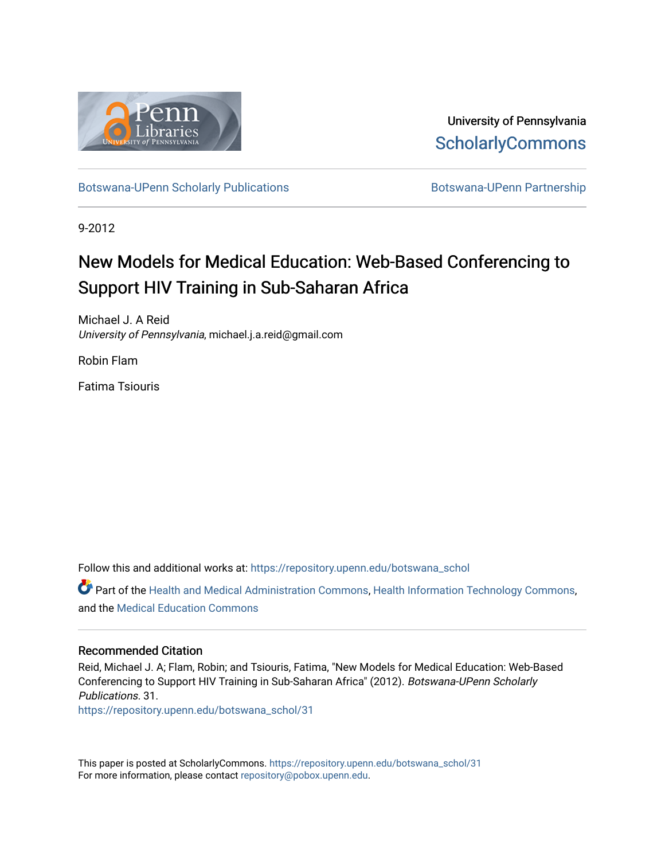

University of Pennsylvania **ScholarlyCommons** 

[Botswana-UPenn Scholarly Publications](https://repository.upenn.edu/botswana_schol) **Botswana-UPenn Partnership** 

9-2012

# New Models for Medical Education: Web-Based Conferencing to Support HIV Training in Sub-Saharan Africa

Michael J. A Reid University of Pennsylvania, michael.j.a.reid@gmail.com

Robin Flam

Fatima Tsiouris

Follow this and additional works at: [https://repository.upenn.edu/botswana\\_schol](https://repository.upenn.edu/botswana_schol?utm_source=repository.upenn.edu%2Fbotswana_schol%2F31&utm_medium=PDF&utm_campaign=PDFCoverPages) 

Part of the [Health and Medical Administration Commons](http://network.bepress.com/hgg/discipline/663?utm_source=repository.upenn.edu%2Fbotswana_schol%2F31&utm_medium=PDF&utm_campaign=PDFCoverPages), [Health Information Technology Commons,](http://network.bepress.com/hgg/discipline/1239?utm_source=repository.upenn.edu%2Fbotswana_schol%2F31&utm_medium=PDF&utm_campaign=PDFCoverPages) and the [Medical Education Commons](http://network.bepress.com/hgg/discipline/1125?utm_source=repository.upenn.edu%2Fbotswana_schol%2F31&utm_medium=PDF&utm_campaign=PDFCoverPages)

# Recommended Citation

Reid, Michael J. A; Flam, Robin; and Tsiouris, Fatima, "New Models for Medical Education: Web-Based Conferencing to Support HIV Training in Sub-Saharan Africa" (2012). Botswana-UPenn Scholarly Publications. 31.

[https://repository.upenn.edu/botswana\\_schol/31](https://repository.upenn.edu/botswana_schol/31?utm_source=repository.upenn.edu%2Fbotswana_schol%2F31&utm_medium=PDF&utm_campaign=PDFCoverPages)

This paper is posted at ScholarlyCommons. [https://repository.upenn.edu/botswana\\_schol/31](https://repository.upenn.edu/botswana_schol/31)  For more information, please contact [repository@pobox.upenn.edu.](mailto:repository@pobox.upenn.edu)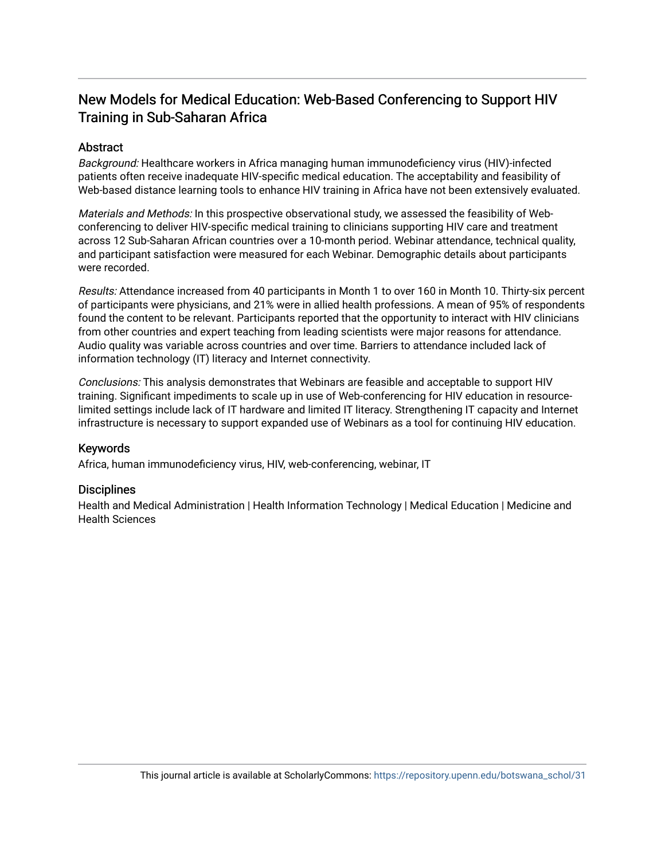# New Models for Medical Education: Web-Based Conferencing to Support HIV Training in Sub-Saharan Africa

# **Abstract**

Background: Healthcare workers in Africa managing human immunodeficiency virus (HIV)-infected patients often receive inadequate HIV-specific medical education. The acceptability and feasibility of Web-based distance learning tools to enhance HIV training in Africa have not been extensively evaluated.

Materials and Methods: In this prospective observational study, we assessed the feasibility of Webconferencing to deliver HIV-specific medical training to clinicians supporting HIV care and treatment across 12 Sub-Saharan African countries over a 10-month period. Webinar attendance, technical quality, and participant satisfaction were measured for each Webinar. Demographic details about participants were recorded.

Results: Attendance increased from 40 participants in Month 1 to over 160 in Month 10. Thirty-six percent of participants were physicians, and 21% were in allied health professions. A mean of 95% of respondents found the content to be relevant. Participants reported that the opportunity to interact with HIV clinicians from other countries and expert teaching from leading scientists were major reasons for attendance. Audio quality was variable across countries and over time. Barriers to attendance included lack of information technology (IT) literacy and Internet connectivity.

Conclusions: This analysis demonstrates that Webinars are feasible and acceptable to support HIV training. Significant impediments to scale up in use of Web-conferencing for HIV education in resourcelimited settings include lack of IT hardware and limited IT literacy. Strengthening IT capacity and Internet infrastructure is necessary to support expanded use of Webinars as a tool for continuing HIV education.

# Keywords

Africa, human immunodeficiency virus, HIV, web-conferencing, webinar, IT

# **Disciplines**

Health and Medical Administration | Health Information Technology | Medical Education | Medicine and Health Sciences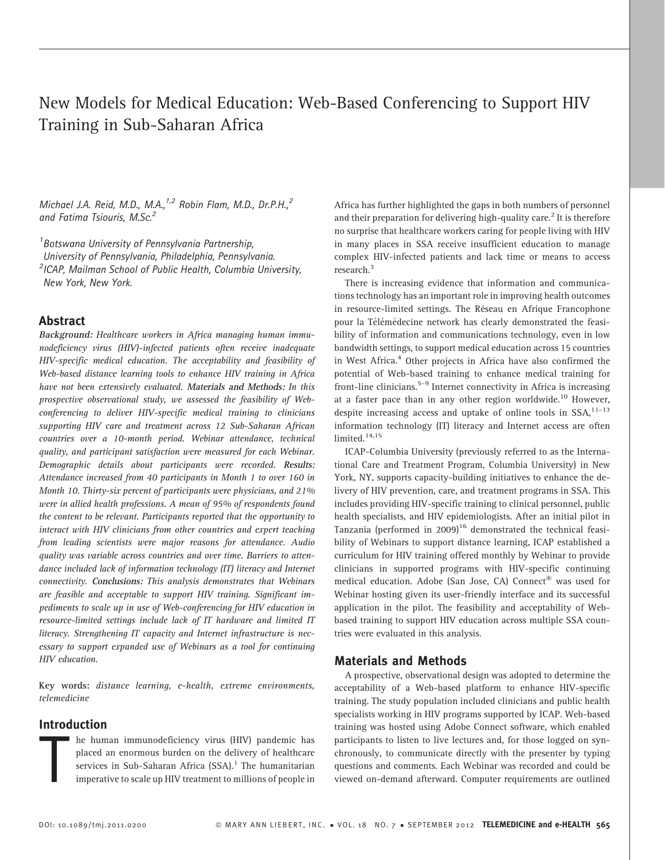# New Models for Medical Education: Web-Based Conferencing to Support HIV Training in Sub-Saharan Africa

Michael J.A. Reid, M.D., M.A.,  $1.2$  Robin Flam, M.D., Dr.P.H.,  $2$ and Fatima Tsiouris, M.Sc.<sup>2</sup>

<sup>1</sup> Botswana University of Pennsylvania Partnership, University of Pennsylvania, Philadelphia, Pennsylvania. 2 ICAP, Mailman School of Public Health, Columbia University, New York, New York.

#### Abstract

Background: Healthcare workers in Africa managing human immunodeficiency virus (HIV)-infected patients often receive inadequate HIV-specific medical education. The acceptability and feasibility of Web-based distance learning tools to enhance HIV training in Africa have not been extensively evaluated. Materials and Methods: In this prospective observational study, we assessed the feasibility of Webconferencing to deliver HIV-specific medical training to clinicians supporting HIV care and treatment across 12 Sub-Saharan African countries over a 10-month period. Webinar attendance, technical quality, and participant satisfaction were measured for each Webinar. Demographic details about participants were recorded. Results: Attendance increased from 40 participants in Month 1 to over 160 in Month 10. Thirty-six percent of participants were physicians, and 21% were in allied health professions. A mean of 95% of respondents found the content to be relevant. Participants reported that the opportunity to interact with HIV clinicians from other countries and expert teaching from leading scientists were major reasons for attendance. Audio quality was variable across countries and over time. Barriers to attendance included lack of information technology (IT) literacy and Internet connectivity. Conclusions: This analysis demonstrates that Webinars are feasible and acceptable to support HIV training. Significant impediments to scale up in use of Web-conferencing for HIV education in resource-limited settings include lack of IT hardware and limited IT literacy. Strengthening IT capacity and Internet infrastructure is necessary to support expanded use of Webinars as a tool for continuing HIV education.

Key words: distance learning, e-health, extreme environments, telemedicine

#### Introduction

T he human immunodeficiency virus (HIV) pandemic has placed an enormous burden on the delivery of healthcare services in Sub-Saharan Africa  $(SSA)^1$ . The humanitarian imperative to scale up HIV treatment to millions of people in Africa has further highlighted the gaps in both numbers of personnel and their preparation for delivering high-quality care.<sup>2</sup> It is therefore no surprise that healthcare workers caring for people living with HIV in many places in SSA receive insufficient education to manage complex HIV-infected patients and lack time or means to access research.<sup>3</sup>

There is increasing evidence that information and communications technology has an important role in improving health outcomes in resource-limited settings. The Réseau en Afrique Francophone pour la Télémédecine network has clearly demonstrated the feasibility of information and communications technology, even in low bandwidth settings, to support medical education across 15 countries in West Africa.<sup>4</sup> Other projects in Africa have also confirmed the potential of Web-based training to enhance medical training for front-line clinicians.<sup>5–9</sup> Internet connectivity in Africa is increasing at a faster pace than in any other region worldwide.<sup>10</sup> However, despite increasing access and uptake of online tools in  $SSA$ ,  $11-13$ information technology (IT) literacy and Internet access are often limited.<sup>14,15</sup>

ICAP-Columbia University (previously referred to as the International Care and Treatment Program, Columbia University) in New York, NY, supports capacity-building initiatives to enhance the delivery of HIV prevention, care, and treatment programs in SSA. This includes providing HIV-specific training to clinical personnel, public health specialists, and HIV epidemiologists. After an initial pilot in Tanzania (performed in 2009) $16$  demonstrated the technical feasibility of Webinars to support distance learning, ICAP established a curriculum for HIV training offered monthly by Webinar to provide clinicians in supported programs with HIV-specific continuing medical education. Adobe (San Jose, CA) Connect $^\circledast$  was used for Webinar hosting given its user-friendly interface and its successful application in the pilot. The feasibility and acceptability of Webbased training to support HIV education across multiple SSA countries were evaluated in this analysis.

#### Materials and Methods

A prospective, observational design was adopted to determine the acceptability of a Web-based platform to enhance HIV-specific training. The study population included clinicians and public health specialists working in HIV programs supported by ICAP. Web-based training was hosted using Adobe Connect software, which enabled participants to listen to live lectures and, for those logged on synchronously, to communicate directly with the presenter by typing questions and comments. Each Webinar was recorded and could be viewed on-demand afterward. Computer requirements are outlined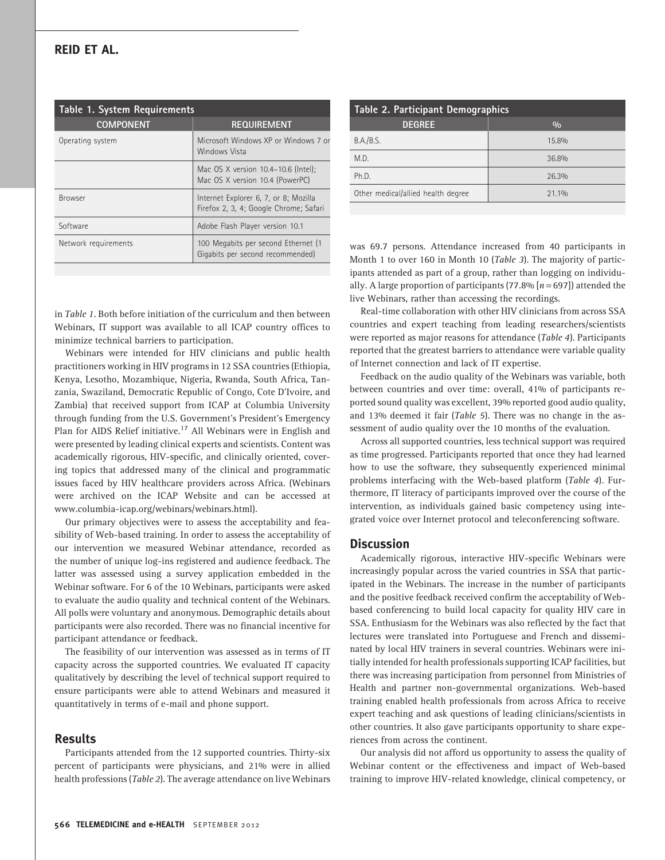| <b>COMPONENT</b><br><b>REQUIREMENT</b><br>Microsoft Windows XP or Windows 7 or<br>Operating system<br>Windows Vista<br>Mac OS X version 10.4-10.6 (Intel);<br>Mac OS X version 10.4 (PowerPC)<br>Internet Explorer 6, 7, or 8; Mozilla<br><b>Browser</b><br>Firefox 2, 3, 4; Google Chrome; Safari<br>Software<br>Adobe Flash Player version 10.1 | Table 1. System Requirements |  |  |  |  |
|---------------------------------------------------------------------------------------------------------------------------------------------------------------------------------------------------------------------------------------------------------------------------------------------------------------------------------------------------|------------------------------|--|--|--|--|
|                                                                                                                                                                                                                                                                                                                                                   |                              |  |  |  |  |
|                                                                                                                                                                                                                                                                                                                                                   |                              |  |  |  |  |
|                                                                                                                                                                                                                                                                                                                                                   |                              |  |  |  |  |
|                                                                                                                                                                                                                                                                                                                                                   |                              |  |  |  |  |
|                                                                                                                                                                                                                                                                                                                                                   |                              |  |  |  |  |
| 100 Megabits per second Ethernet (1<br>Network requirements<br>Gigabits per second recommended)                                                                                                                                                                                                                                                   |                              |  |  |  |  |

| Table 2. Participant Demographics  |       |  |  |  |
|------------------------------------|-------|--|--|--|
| <b>DEGREE</b>                      | 0/0   |  |  |  |
| B.A./B.S.                          | 15.8% |  |  |  |
| M.D.                               | 36.8% |  |  |  |
| Ph.D.                              | 26.3% |  |  |  |
| Other medical/allied health degree | 21.1% |  |  |  |

in Table 1. Both before initiation of the curriculum and then between Webinars, IT support was available to all ICAP country offices to minimize technical barriers to participation.

Webinars were intended for HIV clinicians and public health practitioners working in HIV programs in 12 SSA countries (Ethiopia, Kenya, Lesotho, Mozambique, Nigeria, Rwanda, South Africa, Tanzania, Swaziland, Democratic Republic of Congo, Cote D'Ivoire, and Zambia) that received support from ICAP at Columbia University through funding from the U.S. Government's President's Emergency Plan for AIDS Relief initiative.<sup>17</sup> All Webinars were in English and were presented by leading clinical experts and scientists. Content was academically rigorous, HIV-specific, and clinically oriented, covering topics that addressed many of the clinical and programmatic issues faced by HIV healthcare providers across Africa. (Webinars were archived on the ICAP Website and can be accessed at www.columbia-icap.org/webinars/webinars.html).

Our primary objectives were to assess the acceptability and feasibility of Web-based training. In order to assess the acceptability of our intervention we measured Webinar attendance, recorded as the number of unique log-ins registered and audience feedback. The latter was assessed using a survey application embedded in the Webinar software. For 6 of the 10 Webinars, participants were asked to evaluate the audio quality and technical content of the Webinars. All polls were voluntary and anonymous. Demographic details about participants were also recorded. There was no financial incentive for participant attendance or feedback.

The feasibility of our intervention was assessed as in terms of IT capacity across the supported countries. We evaluated IT capacity qualitatively by describing the level of technical support required to ensure participants were able to attend Webinars and measured it quantitatively in terms of e-mail and phone support.

#### Results

Participants attended from the 12 supported countries. Thirty-six percent of participants were physicians, and 21% were in allied health professions (Table 2). The average attendance on live Webinars

was 69.7 persons. Attendance increased from 40 participants in Month 1 to over 160 in Month 10 (*Table 3*). The majority of participants attended as part of a group, rather than logging on individually. A large proportion of participants (77.8%  $[n=697]$ ) attended the live Webinars, rather than accessing the recordings.

Real-time collaboration with other HIV clinicians from across SSA countries and expert teaching from leading researchers/scientists were reported as major reasons for attendance (Table 4). Participants reported that the greatest barriers to attendance were variable quality of Internet connection and lack of IT expertise.

Feedback on the audio quality of the Webinars was variable, both between countries and over time: overall, 41% of participants reported sound quality was excellent, 39% reported good audio quality, and 13% deemed it fair (Table 5). There was no change in the assessment of audio quality over the 10 months of the evaluation.

Across all supported countries, less technical support was required as time progressed. Participants reported that once they had learned how to use the software, they subsequently experienced minimal problems interfacing with the Web-based platform (Table 4). Furthermore, IT literacy of participants improved over the course of the intervention, as individuals gained basic competency using integrated voice over Internet protocol and teleconferencing software.

#### **Discussion**

Academically rigorous, interactive HIV-specific Webinars were increasingly popular across the varied countries in SSA that participated in the Webinars. The increase in the number of participants and the positive feedback received confirm the acceptability of Webbased conferencing to build local capacity for quality HIV care in SSA. Enthusiasm for the Webinars was also reflected by the fact that lectures were translated into Portuguese and French and disseminated by local HIV trainers in several countries. Webinars were initially intended for health professionals supporting ICAP facilities, but there was increasing participation from personnel from Ministries of Health and partner non-governmental organizations. Web-based training enabled health professionals from across Africa to receive expert teaching and ask questions of leading clinicians/scientists in other countries. It also gave participants opportunity to share experiences from across the continent.

Our analysis did not afford us opportunity to assess the quality of Webinar content or the effectiveness and impact of Web-based training to improve HIV-related knowledge, clinical competency, or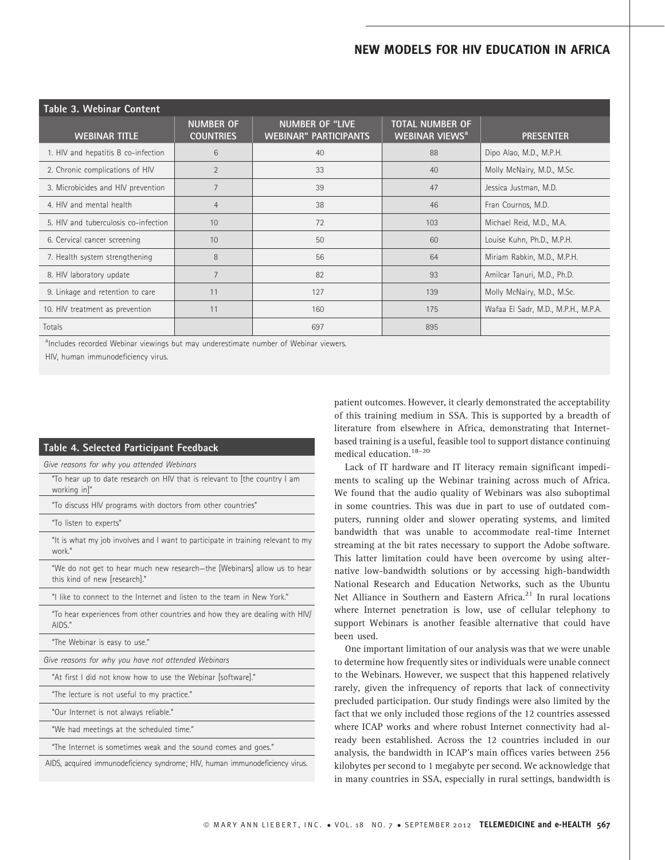# NEW MODELS FOR HIV EDUCATION IN AFRICA

| Table 3. Webinar Content             |                                      |                                                        |                                                            |                                     |  |  |
|--------------------------------------|--------------------------------------|--------------------------------------------------------|------------------------------------------------------------|-------------------------------------|--|--|
| <b>WEBINAR TITLE</b>                 | <b>NUMBER OF</b><br><b>COUNTRIES</b> | <b>NUMBER OF "LIVE</b><br><b>WEBINAR" PARTICIPANTS</b> | <b>TOTAL NUMBER OF</b><br><b>WEBINAR VIEWS<sup>a</sup></b> | <b>PRESENTER</b>                    |  |  |
| 1. HIV and hepatitis B co-infection  | 6                                    | 40                                                     | 88                                                         | Dipo Alao, M.D., M.P.H.             |  |  |
| 2. Chronic complications of HIV      | $\overline{2}$                       | 33                                                     | 40                                                         | Molly McNairy, M.D., M.Sc.          |  |  |
| 3. Microbicides and HIV prevention   | 7                                    | 39                                                     | 47                                                         | Jessica Justman, M.D.               |  |  |
| 4. HIV and mental health             | $\overline{4}$                       | 38                                                     | 46                                                         | Fran Cournos, M.D.                  |  |  |
| 5. HIV and tuberculosis co-infection | 10                                   | 72                                                     | 103                                                        | Michael Reid, M.D., M.A.            |  |  |
| 6. Cervical cancer screening         | 10                                   | 50                                                     | 60                                                         | Louise Kuhn, Ph.D., M.P.H.          |  |  |
| 7. Health system strengthening       | 8                                    | 56                                                     | 64                                                         | Miriam Rabkin, M.D., M.P.H.         |  |  |
| 8. HIV laboratory update             |                                      | 82                                                     | 93                                                         | Amilcar Tanuri, M.D., Ph.D.         |  |  |
| 9. Linkage and retention to care     | 11                                   | 127                                                    | 139                                                        | Molly McNairy, M.D., M.Sc.          |  |  |
| 10. HIV treatment as prevention      | 11                                   | 160                                                    | 175                                                        | Wafaa El Sadr, M.D., M.P.H., M.P.A. |  |  |
| Totals                               |                                      | 697                                                    | 895                                                        |                                     |  |  |

<sup>a</sup>Includes recorded Webinar viewings but may underestimate number of Webinar viewers.

HIV, human immunodeficiency virus.

#### Table 4. Selected Participant Feedback

Give reasons for why you attended Webinars

''To hear up to date research on HIV that is relevant to [the country I am working in]''

''To discuss HIV programs with doctors from other countries''

''To listen to experts''

''It is what my job involves and I want to participate in training relevant to my work.''

''We do not get to hear much new research—the [Webinars] allow us to hear this kind of new [research].''

''I like to connect to the Internet and listen to the team in New York.''

''To hear experiences from other countries and how they are dealing with HIV/ AIDS.''

''The Webinar is easy to use.''

Give reasons for why you have not attended Webinars

''At first I did not know how to use the Webinar [software].''

''The lecture is not useful to my practice.''

''Our Internet is not always reliable.''

''We had meetings at the scheduled time.''

''The Internet is sometimes weak and the sound comes and goes.''

AIDS, acquired immunodeficiency syndrome; HIV, human immunodeficiency virus.

patient outcomes. However, it clearly demonstrated the acceptability of this training medium in SSA. This is supported by a breadth of literature from elsewhere in Africa, demonstrating that Internetbased training is a useful, feasible tool to support distance continuing medical education.<sup>18-20</sup>

Lack of IT hardware and IT literacy remain significant impediments to scaling up the Webinar training across much of Africa. We found that the audio quality of Webinars was also suboptimal in some countries. This was due in part to use of outdated computers, running older and slower operating systems, and limited bandwidth that was unable to accommodate real-time Internet streaming at the bit rates necessary to support the Adobe software. This latter limitation could have been overcome by using alternative low-bandwidth solutions or by accessing high-bandwidth National Research and Education Networks, such as the Ubuntu Net Alliance in Southern and Eastern Africa.<sup>21</sup> In rural locations where Internet penetration is low, use of cellular telephony to support Webinars is another feasible alternative that could have been used.

One important limitation of our analysis was that we were unable to determine how frequently sites or individuals were unable connect to the Webinars. However, we suspect that this happened relatively rarely, given the infrequency of reports that lack of connectivity precluded participation. Our study findings were also limited by the fact that we only included those regions of the 12 countries assessed where ICAP works and where robust Internet connectivity had already been established. Across the 12 countries included in our analysis, the bandwidth in ICAP's main offices varies between 256 kilobytes per second to 1 megabyte per second. We acknowledge that in many countries in SSA, especially in rural settings, bandwidth is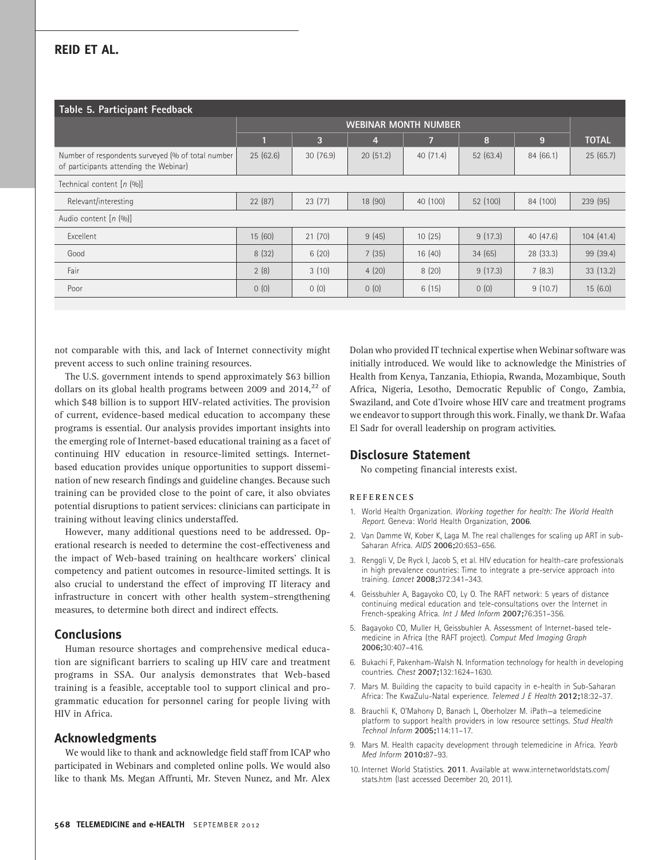### REID ET AL.

| <b>WEBINAR MONTH NUMBER</b><br><b>TOTAL</b><br>3<br>8<br>7<br>9<br>4<br>30(76.9)<br>25(65.7)<br>Number of respondents surveyed (% of total number<br>25(62.6)<br>20(51.2)<br>40(71.4)<br>52(63.4)<br>84(66.1)<br>of participants attending the Webinar)<br>Technical content $[n (96)]$<br>23(77)<br>22(87)<br>18 (90)<br>40 (100)<br>52 (100)<br>84 (100)<br>239(95)<br>Relevant/interesting<br>Audio content $[n (96)]$<br>21(70)<br>9(45)<br>15(60)<br>10(25)<br>9(17.3)<br>40(47.6)<br>104(41.4)<br>Excellent<br>8(32)<br>6(20)<br>7(35)<br>16(40)<br>34(65)<br>28(33.3)<br>99 (39.4)<br>Good<br>Fair<br>2(8)<br>33(13.2)<br>3(10)<br>4(20)<br>8(20)<br>9(17.3)<br>7(8.3) | Table 5. Participant Feedback |      |      |      |       |      |         |         |
|-------------------------------------------------------------------------------------------------------------------------------------------------------------------------------------------------------------------------------------------------------------------------------------------------------------------------------------------------------------------------------------------------------------------------------------------------------------------------------------------------------------------------------------------------------------------------------------------------------------------------------------------------------------------------------|-------------------------------|------|------|------|-------|------|---------|---------|
|                                                                                                                                                                                                                                                                                                                                                                                                                                                                                                                                                                                                                                                                               |                               |      |      |      |       |      |         |         |
|                                                                                                                                                                                                                                                                                                                                                                                                                                                                                                                                                                                                                                                                               |                               |      |      |      |       |      |         |         |
|                                                                                                                                                                                                                                                                                                                                                                                                                                                                                                                                                                                                                                                                               |                               |      |      |      |       |      |         |         |
|                                                                                                                                                                                                                                                                                                                                                                                                                                                                                                                                                                                                                                                                               |                               |      |      |      |       |      |         |         |
|                                                                                                                                                                                                                                                                                                                                                                                                                                                                                                                                                                                                                                                                               |                               |      |      |      |       |      |         |         |
|                                                                                                                                                                                                                                                                                                                                                                                                                                                                                                                                                                                                                                                                               |                               |      |      |      |       |      |         |         |
|                                                                                                                                                                                                                                                                                                                                                                                                                                                                                                                                                                                                                                                                               |                               |      |      |      |       |      |         |         |
|                                                                                                                                                                                                                                                                                                                                                                                                                                                                                                                                                                                                                                                                               |                               |      |      |      |       |      |         |         |
|                                                                                                                                                                                                                                                                                                                                                                                                                                                                                                                                                                                                                                                                               |                               |      |      |      |       |      |         |         |
|                                                                                                                                                                                                                                                                                                                                                                                                                                                                                                                                                                                                                                                                               | Poor                          | 0(0) | 0(0) | 0(0) | 6(15) | 0(0) | 9(10.7) | 15(6.0) |

not comparable with this, and lack of Internet connectivity might prevent access to such online training resources.

The U.S. government intends to spend approximately \$63 billion dollars on its global health programs between 2009 and  $2014$ , $22$  of which \$48 billion is to support HIV-related activities. The provision of current, evidence-based medical education to accompany these programs is essential. Our analysis provides important insights into the emerging role of Internet-based educational training as a facet of continuing HIV education in resource-limited settings. Internetbased education provides unique opportunities to support dissemination of new research findings and guideline changes. Because such training can be provided close to the point of care, it also obviates potential disruptions to patient services: clinicians can participate in training without leaving clinics understaffed.

However, many additional questions need to be addressed. Operational research is needed to determine the cost-effectiveness and the impact of Web-based training on healthcare workers' clinical competency and patient outcomes in resource-limited settings. It is also crucial to understand the effect of improving IT literacy and infrastructure in concert with other health system–strengthening measures, to determine both direct and indirect effects.

#### Conclusions

Human resource shortages and comprehensive medical education are significant barriers to scaling up HIV care and treatment programs in SSA. Our analysis demonstrates that Web-based training is a feasible, acceptable tool to support clinical and programmatic education for personnel caring for people living with HIV in Africa.

#### Acknowledgments

We would like to thank and acknowledge field staff from ICAP who participated in Webinars and completed online polls. We would also like to thank Ms. Megan Affrunti, Mr. Steven Nunez, and Mr. Alex Dolan who provided IT technical expertise when Webinar software was initially introduced. We would like to acknowledge the Ministries of Health from Kenya, Tanzania, Ethiopia, Rwanda, Mozambique, South Africa, Nigeria, Lesotho, Democratic Republic of Congo, Zambia, Swaziland, and Cote d'Ivoire whose HIV care and treatment programs we endeavor to support through this work. Finally, we thank Dr. Wafaa El Sadr for overall leadership on program activities.

## Disclosure Statement

No competing financial interests exist.

#### **REFERENCES**

- 1. World Health Organization. Working together for health: The World Health Report. Geneva: World Health Organization, 2006.
- 2. Van Damme W, Kober K, Laga M. The real challenges for scaling up ART in sub-Saharan Africa. AIDS 2006;20:653–656.
- 3. Renggli V, De Ryck I, Jacob S, et al. HIV education for health-care professionals in high prevalence countries: Time to integrate a pre-service approach into training. Lancet 2008;372:341–343.
- 4. Geissbuhler A, Bagayoko CO, Ly O. The RAFT network: 5 years of distance continuing medical education and tele-consultations over the Internet in French-speaking Africa. Int J Med Inform 2007;76:351–356.
- 5. Bagayoko CO, Muller H, Geissbuhler A. Assessment of Internet-based telemedicine in Africa (the RAFT project). Comput Med Imaging Graph 2006;30:407–416.
- 6. Bukachi F, Pakenham-Walsh N. Information technology for health in developing countries. Chest 2007;132:1624–1630.
- 7. Mars M. Building the capacity to build capacity in e-health in Sub-Saharan Africa: The KwaZulu-Natal experience. Telemed J E Health 2012;18:32-37.
- 8. Brauchli K, O'Mahony D, Banach L, Oberholzer M. iPath—a telemedicine platform to support health providers in low resource settings. Stud Health Technol Inform 2005;114:11–17.
- 9. Mars M. Health capacity development through telemedicine in Africa. Yearb Med Inform 2010:87–93.
- 10. Internet World Statistics. 2011. Available at www.internetworldstats.com/ stats.htm (last accessed December 20, 2011).